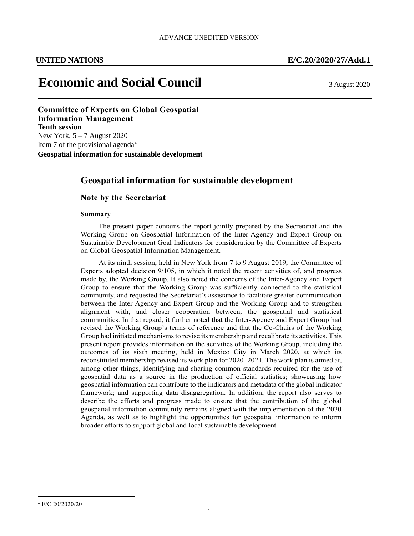# **Economic and Social Council** 3 August 2020

**Economic and Social Council** 12 June 2013 **Committee of Experts on Global Geospatial Information Management Tenth session** New York,  $5 - 7$  August 2020 Item 7 of the provisional agenda\* **Geospatial information for sustainable development**

## **Geospatial information for sustainable development**

### **Note by the Secretariat**

#### **Summary**

The present paper contains the report jointly prepared by the Secretariat and the Working Group on Geospatial Information of the Inter-Agency and Expert Group on Sustainable Development Goal Indicators for consideration by the Committee of Experts on Global Geospatial Information Management.

At its ninth session, held in New York from 7 to 9 August 2019, the Committee of Experts adopted decision 9/105, in which it noted the recent activities of, and progress made by, the Working Group. It also noted the concerns of the Inter-Agency and Expert Group to ensure that the Working Group was sufficiently connected to the statistical community, and requested the Secretariat's assistance to facilitate greater communication between the Inter-Agency and Expert Group and the Working Group and to strengthen alignment with, and closer cooperation between, the geospatial and statistical communities. In that regard, it further noted that the Inter-Agency and Expert Group had revised the Working Group's terms of reference and that the Co-Chairs of the Working Group had initiated mechanisms to revise its membership and recalibrate its activities. This present report provides information on the activities of the Working Group, including the outcomes of its sixth meeting, held in Mexico City in March 2020, at which its reconstituted membership revised its work plan for 2020–2021. The work plan is aimed at, among other things, identifying and sharing common standards required for the use of geospatial data as a source in the production of official statistics; showcasing how geospatial information can contribute to the indicators and metadata of the global indicator framework; and supporting data disaggregation. In addition, the report also serves to describe the efforts and progress made to ensure that the contribution of the global geospatial information community remains aligned with the implementation of the 2030 Agenda, as well as to highlight the opportunities for geospatial information to inform broader efforts to support global and local sustainable development.

 $\overline{\phantom{a}}$ 

<sup>\*</sup> E/C.20/2020/20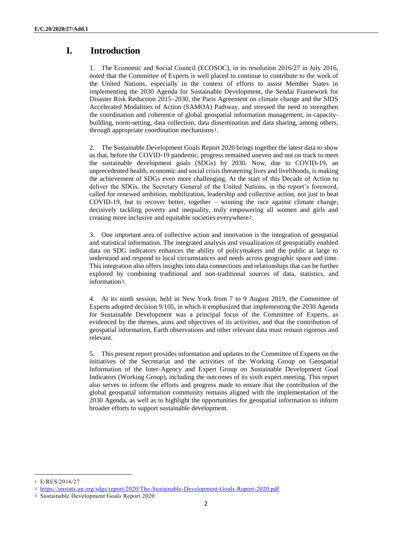# **I. Introduction**

1. The Economic and Social Council (ECOSOC), in its resolution 2016/27 in July 2016, noted that the Committee of Experts is well placed to continue to contribute to the work of the United Nations, especially in the context of efforts to assist Member States in implementing the 2030 Agenda for Sustainable Development, the Sendai Framework for Disaster Risk Reduction 2015–2030, the Paris Agreement on climate change and the SIDS Accelerated Modalities of Action (SAMOA) Pathway, and stressed the need to strengthen the coordination and coherence of global geospatial information management, in capacitybuilding, norm-setting, data collection, data dissemination and data sharing, among others, through appropriate coordination mechanisms1.

2. The Sustainable Development Goals Report 2020 brings together the latest data to show us that, before the COVID-19 pandemic, progress remained uneven and not on track to meet the sustainable development goals (SDGs) by 2030. Now, due to COVID-19, an unprecedented health, economic and social crisis threatening lives and livelihoods, is making the achievement of SDGs even more challenging. At the start of this Decade of Action to deliver the SDGs, the Secretary General of the United Nations, in the report's foreword, called for renewed ambition, mobilization, leadership and collective action, not just to beat COVID-19, but to recover better, together – winning the race against climate change, decisively tackling poverty and inequality, truly empowering all women and girls and creating more inclusive and equitable societies everywhere2.

3. One important area of collective action and innovation is the integration of geospatial and statistical information. The integrated analysis and visualization of geospatially enabled data on SDG indicators enhances the ability of policymakers and the public at large to understand and respond to local circumstances and needs across geographic space and time. This integration also offers insights into data connections and relationships that can be further explored by combining traditional and non-traditional sources of data, statistics, and information3.

4. At its ninth session, held in New York from 7 to 9 August 2019, the Committee of Experts adopted decision 9/105, in which it emphasized that implementing the 2030 Agenda for Sustainable Development was a principal focus of the Committee of Experts, as evidenced by the themes, aims and objectives of its activities, and that the contribution of geospatial information, Earth observations and other relevant data must remain rigorous and relevant.

5. This present report provides information and updates to the Committee of Experts on the initiatives of the Secretariat and the activities of the Working Group on Geospatial Information of the Inter-Agency and Expert Group on Sustainable Development Goal Indicators (Working Group), including the outcomes of its sixth expert meeting. This report also serves to inform the efforts and progress made to ensure that the contribution of the global geospatial information community remains aligned with the implementation of the 2030 Agenda, as well as to highlight the opportunities for geospatial information to inform broader efforts to support sustainable development.

 $\overline{\phantom{a}}$ 

<sup>1</sup> E/RES/2016/27

<sup>2</sup> <https://unstats.un.org/sdgs/report/2020/The-Sustainable-Development-Goals-Report-2020.pdf>

<sup>3</sup> Sustainable Development Goals Report 2020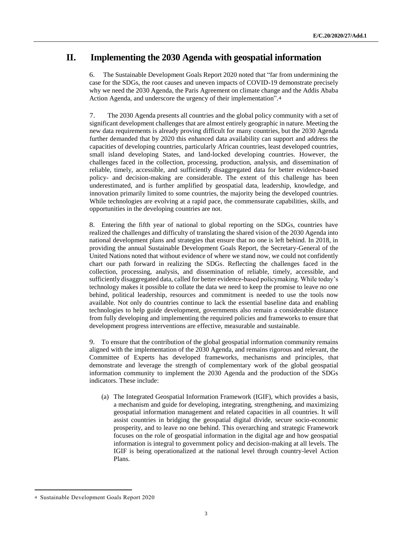# **II. Implementing the 2030 Agenda with geospatial information**

6. The Sustainable Development Goals Report 2020 noted that "far from undermining the case for the SDGs, the root causes and uneven impacts of COVID-19 demonstrate precisely why we need the 2030 Agenda, the Paris Agreement on climate change and the Addis Ababa Action Agenda, and underscore the urgency of their implementation".4

7. The 2030 Agenda presents all countries and the global policy community with a set of significant development challenges that are almost entirely geographic in nature. Meeting the new data requirements is already proving difficult for many countries, but the 2030 Agenda further demanded that by 2020 this enhanced data availability can support and address the capacities of developing countries, particularly African countries, least developed countries, small island developing States, and land-locked developing countries. However, the challenges faced in the collection, processing, production, analysis, and dissemination of reliable, timely, accessible, and sufficiently disaggregated data for better evidence-based policy- and decision-making are considerable. The extent of this challenge has been underestimated, and is further amplified by geospatial data, leadership, knowledge, and innovation primarily limited to some countries, the majority being the developed countries. While technologies are evolving at a rapid pace, the commensurate capabilities, skills, and opportunities in the developing countries are not.

8. Entering the fifth year of national to global reporting on the SDGs, countries have realized the challenges and difficulty of translating the shared vision of the 2030 Agenda into national development plans and strategies that ensure that no one is left behind. In 2018, in providing the annual Sustainable Development Goals Report, the Secretary-General of the United Nations noted that without evidence of where we stand now, we could not confidently chart our path forward in realizing the SDGs. Reflecting the challenges faced in the collection, processing, analysis, and dissemination of reliable, timely, accessible, and sufficiently disaggregated data, called for better evidence-based policymaking. While today's technology makes it possible to collate the data we need to keep the promise to leave no one behind, political leadership, resources and commitment is needed to use the tools now available. Not only do countries continue to lack the essential baseline data and enabling technologies to help guide development, governments also remain a considerable distance from fully developing and implementing the required policies and frameworks to ensure that development progress interventions are effective, measurable and sustainable.

9. To ensure that the contribution of the global geospatial information community remains aligned with the implementation of the 2030 Agenda, and remains rigorous and relevant, the Committee of Experts has developed frameworks, mechanisms and principles, that demonstrate and leverage the strength of complementary work of the global geospatial information community to implement the 2030 Agenda and the production of the SDGs indicators. These include:

(a) The Integrated Geospatial Information Framework (IGIF), which provides a basis, a mechanism and guide for developing, integrating, strengthening, and maximizing geospatial information management and related capacities in all countries. It will assist countries in bridging the geospatial digital divide, secure socio-economic prosperity, and to leave no one behind. This overarching and strategic Framework focuses on the role of geospatial information in the digital age and how geospatial information is integral to government policy and decision-making at all levels. The IGIF is being operationalized at the national level through country-level Action Plans.

 $\overline{a}$ 

<sup>4</sup> Sustainable Development Goals Report 2020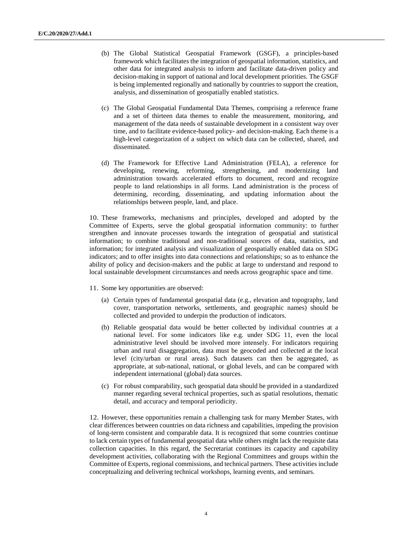- (b) The Global Statistical Geospatial Framework (GSGF), a principles-based framework which facilitates the integration of geospatial information, statistics, and other data for integrated analysis to inform and facilitate data-driven policy and decision-making in support of national and local development priorities. The GSGF is being implemented regionally and nationally by countries to support the creation, analysis, and dissemination of geospatially enabled statistics.
- (c) The Global Geospatial Fundamental Data Themes, comprising a reference frame and a set of thirteen data themes to enable the measurement, monitoring, and management of the data needs of sustainable development in a consistent way over time, and to facilitate evidence-based policy- and decision-making. Each theme is a high-level categorization of a subject on which data can be collected, shared, and disseminated.
- (d) The Framework for Effective Land Administration (FELA), a reference for developing, renewing, reforming, strengthening, and modernizing land administration towards accelerated efforts to document, record and recognize people to land relationships in all forms. Land administration is the process of determining, recording, disseminating, and updating information about the relationships between people, land, and place.

10. These frameworks, mechanisms and principles, developed and adopted by the Committee of Experts, serve the global geospatial information community: to further strengthen and innovate processes towards the integration of geospatial and statistical information; to combine traditional and non-traditional sources of data, statistics, and information; for integrated analysis and visualization of geospatially enabled data on SDG indicators; and to offer insights into data connections and relationships; so as to enhance the ability of policy and decision-makers and the public at large to understand and respond to local sustainable development circumstances and needs across geographic space and time.

- 11. Some key opportunities are observed:
	- (a) Certain types of fundamental geospatial data (e.g., elevation and topography, land cover, transportation networks, settlements, and geographic names) should be collected and provided to underpin the production of indicators.
	- (b) Reliable geospatial data would be better collected by individual countries at a national level. For some indicators like e.g. under SDG 11, even the local administrative level should be involved more intensely. For indicators requiring urban and rural disaggregation, data must be geocoded and collected at the local level (city/urban or rural areas). Such datasets can then be aggregated, as appropriate, at sub-national, national, or global levels, and can be compared with independent international (global) data sources.
	- (c) For robust comparability, such geospatial data should be provided in a standardized manner regarding several technical properties, such as spatial resolutions, thematic detail, and accuracy and temporal periodicity.

12. However, these opportunities remain a challenging task for many Member States, with clear differences between countries on data richness and capabilities, impeding the provision of long-term consistent and comparable data. It is recognized that some countries continue to lack certain types of fundamental geospatial data while others might lack the requisite data collection capacities. In this regard, the Secretariat continues its capacity and capability development activities, collaborating with the Regional Committees and groups within the Committee of Experts, regional commissions, and technical partners. These activities include conceptualizing and delivering technical workshops, learning events, and seminars.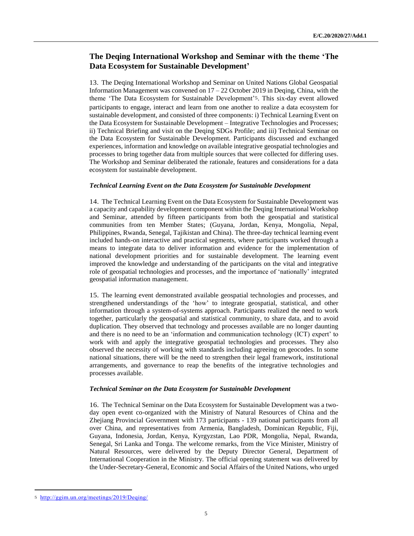### **The Deqing International Workshop and Seminar with the theme 'The Data Ecosystem for Sustainable Development'**

13. The Deqing International Workshop and Seminar on United Nations Global Geospatial Information Management was convened on  $17 - 22$  October 2019 in Deqing, China, with the theme 'The Data Ecosystem for Sustainable Development'5. This six-day event allowed participants to engage, interact and learn from one another to realize a data ecosystem for sustainable development, and consisted of three components: i) Technical Learning Event on the Data Ecosystem for Sustainable Development – Integrative Technologies and Processes; ii) Technical Briefing and visit on the Deqing SDGs Profile; and iii) Technical Seminar on the Data Ecosystem for Sustainable Development. Participants discussed and exchanged experiences, information and knowledge on available integrative geospatial technologies and processes to bring together data from multiple sources that were collected for differing uses. The Workshop and Seminar deliberated the rationale, features and considerations for a data ecosystem for sustainable development.

#### *Technical Learning Event on the Data Ecosystem for Sustainable Development*

14. The Technical Learning Event on the Data Ecosystem for Sustainable Development was a capacity and capability development component within the Deqing International Workshop and Seminar, attended by fifteen participants from both the geospatial and statistical communities from ten Member States; (Guyana, Jordan, Kenya, Mongolia, Nepal, Philippines, Rwanda, Senegal, Tajikistan and China). The three-day technical learning event included hands-on interactive and practical segments, where participants worked through a means to integrate data to deliver information and evidence for the implementation of national development priorities and for sustainable development. The learning event improved the knowledge and understanding of the participants on the vital and integrative role of geospatial technologies and processes, and the importance of 'nationally' integrated geospatial information management.

15. The learning event demonstrated available geospatial technologies and processes, and strengthened understandings of the 'how' to integrate geospatial, statistical, and other information through a system-of-systems approach. Participants realized the need to work together, particularly the geospatial and statistical community, to share data, and to avoid duplication. They observed that technology and processes available are no longer daunting and there is no need to be an 'information and communication technology (ICT) expert' to work with and apply the integrative geospatial technologies and processes. They also observed the necessity of working with standards including agreeing on geocodes. In some national situations, there will be the need to strengthen their legal framework, institutional arrangements, and governance to reap the benefits of the integrative technologies and processes available.

#### *Technical Seminar on the Data Ecosystem for Sustainable Development*

16. The Technical Seminar on the Data Ecosystem for Sustainable Development was a twoday open event co-organized with the Ministry of Natural Resources of China and the Zhejiang Provincial Government with 173 participants - 139 national participants from all over China, and representatives from Armenia, Bangladesh, Dominican Republic, Fiji, Guyana, Indonesia, Jordan, Kenya, Kyrgyzstan, Lao PDR, Mongolia, Nepal, Rwanda, Senegal, Sri Lanka and Tonga. The welcome remarks, from the Vice Minister, Ministry of Natural Resources, were delivered by the Deputy Director General, Department of International Cooperation in the Ministry. The official opening statement was delivered by the Under-Secretary-General, Economic and Social Affairs of the United Nations, who urged

 $\overline{a}$ 

<sup>5</sup> <http://ggim.un.org/meetings/2019/Deqing/>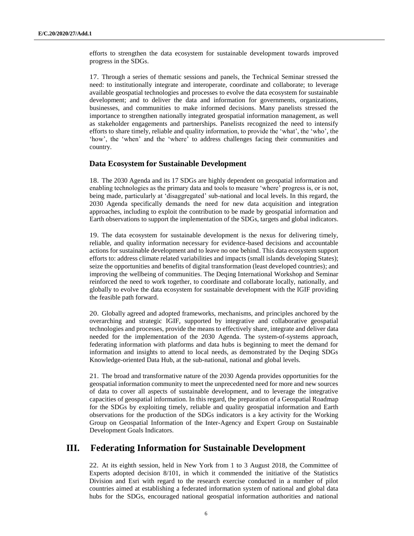efforts to strengthen the data ecosystem for sustainable development towards improved progress in the SDGs.

17. Through a series of thematic sessions and panels, the Technical Seminar stressed the need: to institutionally integrate and interoperate, coordinate and collaborate; to leverage available geospatial technologies and processes to evolve the data ecosystem for sustainable development; and to deliver the data and information for governments, organizations, businesses, and communities to make informed decisions. Many panelists stressed the importance to strengthen nationally integrated geospatial information management, as well as stakeholder engagements and partnerships. Panelists recognized the need to intensify efforts to share timely, reliable and quality information, to provide the 'what', the 'who', the 'how', the 'when' and the 'where' to address challenges facing their communities and country.

#### **Data Ecosystem for Sustainable Development**

18. The 2030 Agenda and its 17 SDGs are highly dependent on geospatial information and enabling technologies as the primary data and tools to measure 'where' progress is, or is not, being made, particularly at 'disaggregated' sub-national and local levels. In this regard, the 2030 Agenda specifically demands the need for new data acquisition and integration approaches, including to exploit the contribution to be made by geospatial information and Earth observations to support the implementation of the SDGs, targets and global indicators.

19. The data ecosystem for sustainable development is the nexus for delivering timely, reliable, and quality information necessary for evidence-based decisions and accountable actions for sustainable development and to leave no one behind. This data ecosystem support efforts to: address climate related variabilities and impacts (small islands developing States); seize the opportunities and benefits of digital transformation (least developed countries); and improving the wellbeing of communities. The Deqing International Workshop and Seminar reinforced the need to work together, to coordinate and collaborate locally, nationally, and globally to evolve the data ecosystem for sustainable development with the IGIF providing the feasible path forward.

20. Globally agreed and adopted frameworks, mechanisms, and principles anchored by the overarching and strategic IGIF, supported by integrative and collaborative geospatial technologies and processes, provide the means to effectively share, integrate and deliver data needed for the implementation of the 2030 Agenda. The system-of-systems approach, federating information with platforms and data hubs is beginning to meet the demand for information and insights to attend to local needs, as demonstrated by the Deqing SDGs Knowledge-oriented Data Hub, at the sub-national, national and global levels.

21. The broad and transformative nature of the 2030 Agenda provides opportunities for the geospatial information community to meet the unprecedented need for more and new sources of data to cover all aspects of sustainable development, and to leverage the integrative capacities of geospatial information. In this regard, the preparation of a Geospatial Roadmap for the SDGs by exploiting timely, reliable and quality geospatial information and Earth observations for the production of the SDGs indicators is a key activity for the Working Group on Geospatial Information of the Inter-Agency and Expert Group on Sustainable Development Goals Indicators.

## **III. Federating Information for Sustainable Development**

22. At its eighth session, held in New York from 1 to 3 August 2018, the Committee of Experts adopted decision 8/101, in which it commended the initiative of the Statistics Division and Esri with regard to the research exercise conducted in a number of pilot countries aimed at establishing a federated information system of national and global data hubs for the SDGs, encouraged national geospatial information authorities and national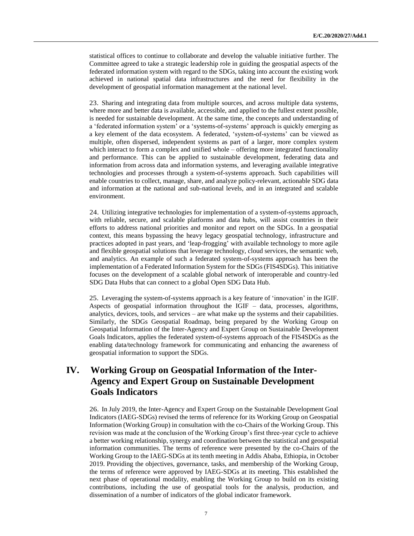statistical offices to continue to collaborate and develop the valuable initiative further. The Committee agreed to take a strategic leadership role in guiding the geospatial aspects of the federated information system with regard to the SDGs, taking into account the existing work achieved in national spatial data infrastructures and the need for flexibility in the development of geospatial information management at the national level.

23. Sharing and integrating data from multiple sources, and across multiple data systems, where more and better data is available, accessible, and applied to the fullest extent possible, is needed for sustainable development. At the same time, the concepts and understanding of a 'federated information system' or a 'systems-of-systems' approach is quickly emerging as a key element of the data ecosystem. A federated, 'system-of-systems' can be viewed as multiple, often dispersed, independent systems as part of a larger, more complex system which interact to form a complex and unified whole – offering more integrated functionality and performance. This can be applied to sustainable development, federating data and information from across data and information systems, and leveraging available integrative technologies and processes through a system-of-systems approach. Such capabilities will enable countries to collect, manage, share, and analyze policy-relevant, actionable SDG data and information at the national and sub-national levels, and in an integrated and scalable environment.

24. Utilizing integrative technologies for implementation of a system-of-systems approach, with reliable, secure, and scalable platforms and data hubs, will assist countries in their efforts to address national priorities and monitor and report on the SDGs. In a geospatial context, this means bypassing the heavy legacy geospatial technology, infrastructure and practices adopted in past years, and 'leap-frogging' with available technology to more agile and flexible geospatial solutions that leverage technology, cloud services, the semantic web, and analytics. An example of such a federated system-of-systems approach has been the implementation of a Federated Information System for the SDGs (FIS4SDGs). This initiative focuses on the development of a scalable global network of interoperable and country-led SDG Data Hubs that can connect to a global Open SDG Data Hub.

25. Leveraging the system-of-systems approach is a key feature of 'innovation' in the IGIF. Aspects of geospatial information throughout the IGIF – data, processes, algorithms, analytics, devices, tools, and services – are what make up the systems and their capabilities. Similarly, the SDGs Geospatial Roadmap, being prepared by the Working Group on Geospatial Information of the Inter-Agency and Expert Group on Sustainable Development Goals Indicators, applies the federated system-of-systems approach of the FIS4SDGs as the enabling data/technology framework for communicating and enhancing the awareness of geospatial information to support the SDGs.

# **IV. Working Group on Geospatial Information of the Inter-Agency and Expert Group on Sustainable Development Goals Indicators**

26. In July 2019, the Inter-Agency and Expert Group on the Sustainable Development Goal Indicators (IAEG-SDGs) revised the terms of reference for its Working Group on Geospatial Information (Working Group) in consultation with the co-Chairs of the Working Group. This revision was made at the conclusion of the Working Group's first three-year cycle to achieve a better working relationship, synergy and coordination between the statistical and geospatial information communities. The terms of reference were presented by the co-Chairs of the Working Group to the IAEG-SDGs at its tenth meeting in Addis Ababa, Ethiopia, in October 2019. Providing the objectives, governance, tasks, and membership of the Working Group, the terms of reference were approved by IAEG-SDGs at its meeting. This established the next phase of operational modality, enabling the Working Group to build on its existing contributions, including the use of geospatial tools for the analysis, production, and dissemination of a number of indicators of the global indicator framework.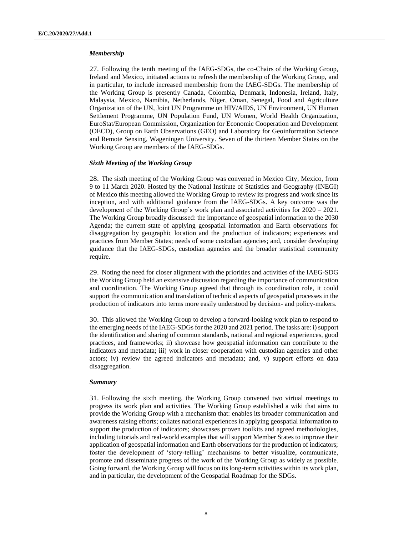#### *Membership*

27. Following the tenth meeting of the IAEG-SDGs, the co-Chairs of the Working Group, Ireland and Mexico, initiated actions to refresh the membership of the Working Group, and in particular, to include increased membership from the IAEG-SDGs. The membership of the Working Group is presently Canada, Colombia, Denmark, Indonesia, Ireland, Italy, Malaysia, Mexico, Namibia, Netherlands, Niger, Oman, Senegal, Food and Agriculture Organization of the UN, Joint UN Programme on HIV/AIDS, UN Environment, UN Human Settlement Programme, UN Population Fund, UN Women, World Health Organization, EuroStat/European Commission, Organization for Economic Cooperation and Development (OECD), Group on Earth Observations (GEO) and Laboratory for Geoinformation Science and Remote Sensing, Wageningen University. Seven of the thirteen Member States on the Working Group are members of the IAEG-SDGs.

#### *Sixth Meeting of the Working Group*

28. The sixth meeting of the Working Group was convened in Mexico City, Mexico, from 9 to 11 March 2020. Hosted by the National Institute of Statistics and Geography (INEGI) of Mexico this meeting allowed the Working Group to review its progress and work since its inception, and with additional guidance from the IAEG-SDGs. A key outcome was the development of the Working Group's work plan and associated activities for 2020 – 2021. The Working Group broadly discussed: the importance of geospatial information to the 2030 Agenda; the current state of applying geospatial information and Earth observations for disaggregation by geographic location and the production of indicators; experiences and practices from Member States; needs of some custodian agencies; and, consider developing guidance that the IAEG-SDGs, custodian agencies and the broader statistical community require.

29. Noting the need for closer alignment with the priorities and activities of the IAEG-SDG the Working Group held an extensive discussion regarding the importance of communication and coordination. The Working Group agreed that through its coordination role, it could support the communication and translation of technical aspects of geospatial processes in the production of indicators into terms more easily understood by decision- and policy-makers.

30. This allowed the Working Group to develop a forward-looking work plan to respond to the emerging needs of the IAEG-SDGs for the 2020 and 2021 period. The tasks are: i) support the identification and sharing of common standards, national and regional experiences, good practices, and frameworks; ii) showcase how geospatial information can contribute to the indicators and metadata; iii) work in closer cooperation with custodian agencies and other actors; iv) review the agreed indicators and metadata; and, v) support efforts on data disaggregation.

#### *Summary*

31. Following the sixth meeting, the Working Group convened two virtual meetings to progress its work plan and activities. The Working Group established a wiki that aims to provide the Working Group with a mechanism that: enables its broader communication and awareness raising efforts; collates national experiences in applying geospatial information to support the production of indicators; showcases proven toolkits and agreed methodologies, including tutorials and real-world examples that will support Member States to improve their application of geospatial information and Earth observations for the production of indicators; foster the development of 'story-telling' mechanisms to better visualize, communicate, promote and disseminate progress of the work of the Working Group as widely as possible. Going forward, the Working Group will focus on its long-term activities within its work plan, and in particular, the development of the Geospatial Roadmap for the SDGs.